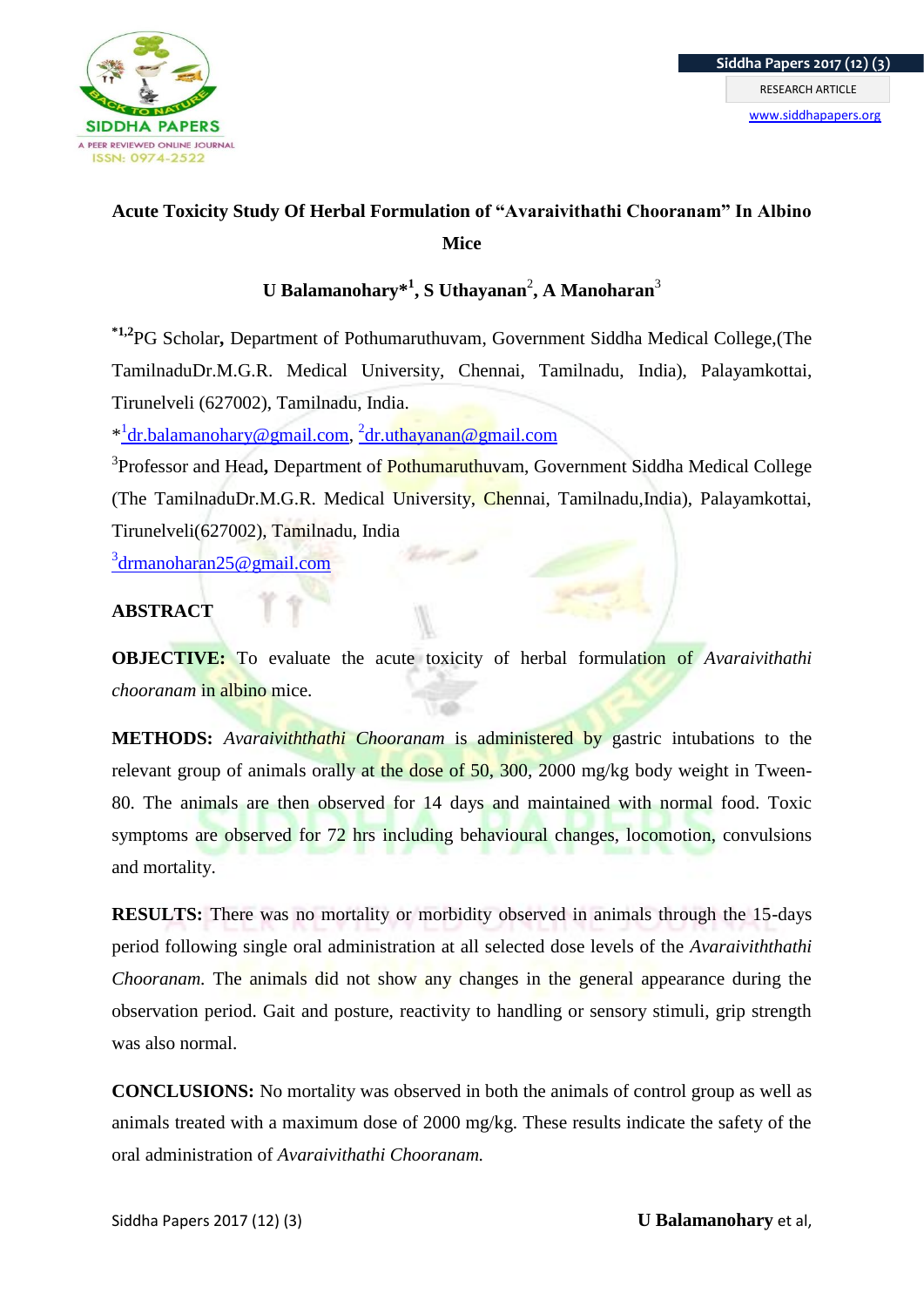

# **Acute Toxicity Study Of Herbal Formulation of "Avaraivithathi Chooranam" In Albino Mice**

 $\bf{U}$  Balamanohary $^{*1}$ , S Uthayanan<sup>2</sup>, A Manoharan $^3$ 

**\*1,2**PG Scholar**,** Department of Pothumaruthuvam, Government Siddha Medical College,(The TamilnaduDr.M.G.R. Medical University, Chennai, Tamilnadu, India), Palayamkottai, Tirunelveli (627002), Tamilnadu, India.

\* [dr.balamanohary@gmail.com,](mailto:1dr.balamanohary@gmail.com) <sup>2</sup> [dr.uthayanan@gmail.com](mailto:2dr.uthayanan@gmail.com)

3 Professor and Head**,** Department of Pothumaruthuvam, Government Siddha Medical College (The TamilnaduDr.M.G.R. Medical University, Chennai, Tamilnadu,India), Palayamkottai, Tirunelveli(627002), Tamilnadu, India

<sup>3</sup>[drmanoharan25@gmail.com](mailto:3drmanoharan25@gmail.com)

## **ABSTRACT**

**OBJECTIVE:** To evaluate the acute toxicity of herbal formulation of *Avaraivithathi chooranam* in albino mice.

**METHODS:** *Avaraiviththathi Chooranam* is administered by gastric intubations to the relevant group of animals orally at the dose of 50, 300, 2000 mg/kg body weight in Tween-80. The animals are then observed for 14 days and maintained with normal food. Toxic symptoms are observed for 72 hrs including behavioural changes, locomotion, convulsions and mortality.

**RESULTS:** There was no mortality or morbidity observed in animals through the 15-days period following single oral administration at all selected dose levels of the *Avaraiviththathi Chooranam.* The animals did not show any changes in the general appearance during the observation period. Gait and posture, reactivity to handling or sensory stimuli, grip strength was also normal.

**CONCLUSIONS:** No mortality was observed in both the animals of control group as well as animals treated with a maximum dose of 2000 mg/kg. These results indicate the safety of the oral administration of *Avaraivithathi Chooranam.*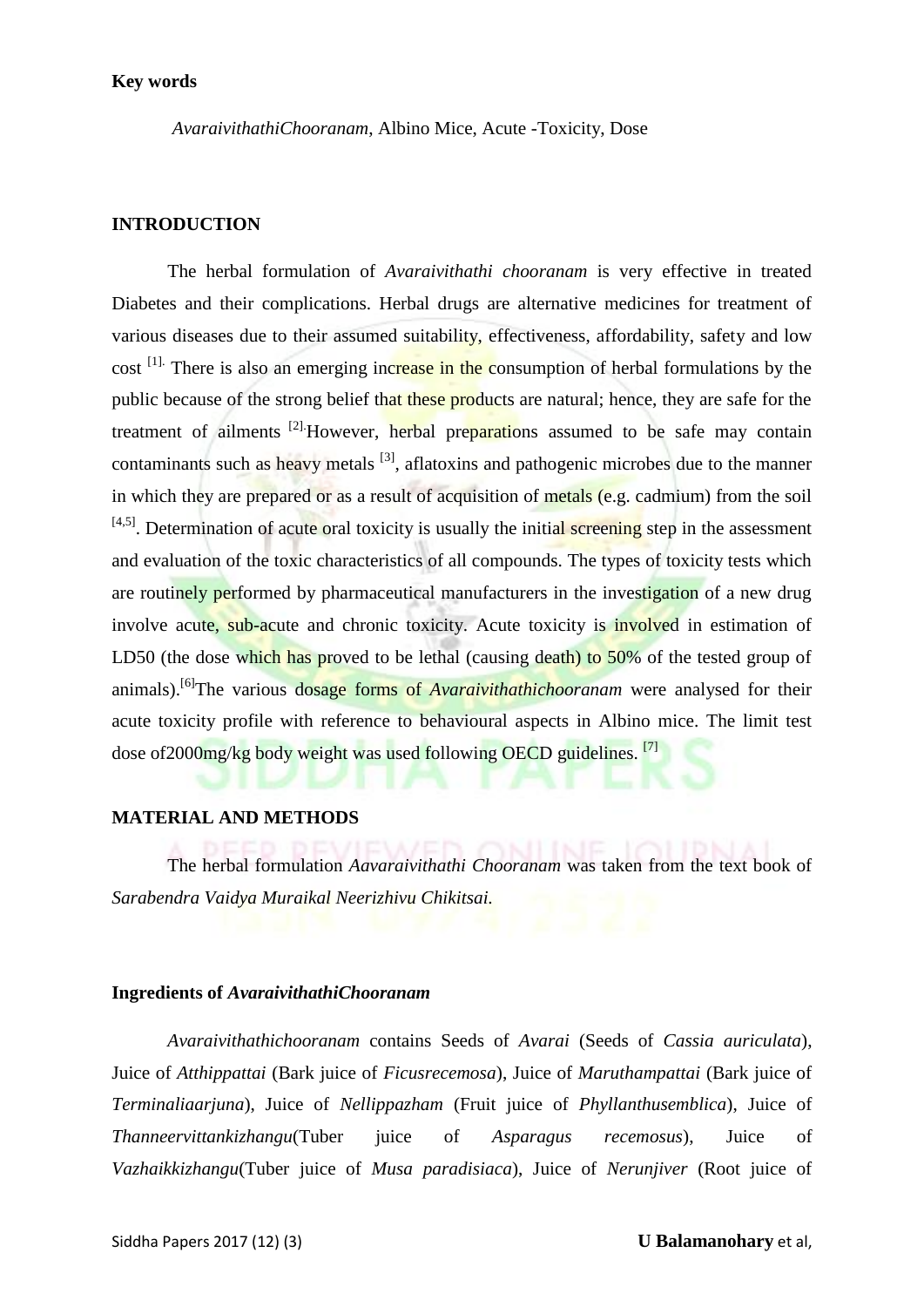#### **Key words**

*AvaraivithathiChooranam*, Albino Mice, Acute -Toxicity, Dose

#### **INTRODUCTION**

The herbal formulation of *Avaraivithathi chooranam* is very effective in treated Diabetes and their complications. Herbal drugs are alternative medicines for treatment of various diseases due to their assumed suitability, effectiveness, affordability, safety and low cost <sup>[1].</sup> There is also an emerging increase in the consumption of herbal formulations by the public because of the strong belief that these products are natural; hence, they are safe for the treatment of ailments <sup>[2]</sup>. However, herbal preparations assumed to be safe may contain contaminants such as heavy metals  $^{[3]}$ , aflatoxins and pathogenic microbes due to the manner in which they are prepared or as a result of acquisition of metals (e.g. cadmium) from the soil  $[4,5]$ . Determination of acute oral toxicity is usually the initial screening step in the assessment and evaluation of the toxic characteristics of all compounds. The types of toxicity tests which are routinely performed by pharmaceutical manufacturers in the investigation of a new drug involve acute, sub-acute and chronic toxicity. Acute toxicity is *involved* in estimation of LD50 (the dose which has proved to be lethal (causing death) to 50% of the tested group of animals).[6]The various dosage forms of *Avaraivithathichooranam* were analysed for their acute toxicity profile with reference to behavioural aspects in Albino mice. The limit test dose of 2000mg/kg body weight was used following OECD guidelines. <sup>[7]</sup>

#### **MATERIAL AND METHODS**

The herbal formulation *Aavaraivithathi Chooranam* was taken from the text book of *Sarabendra Vaidya Muraikal Neerizhivu Chikitsai.*

#### **Ingredients of** *AvaraivithathiChooranam*

*Avaraivithathichooranam* contains Seeds of *Avarai* (Seeds of *Cassia auriculata*), Juice of *Atthippattai* (Bark juice of *Ficusrecemosa*), Juice of *Maruthampattai* (Bark juice of *Terminaliaarjuna*), Juice of *Nellippazham* (Fruit juice of *Phyllanthusemblica*), Juice of *Thanneervittankizhangu*(Tuber juice of *Asparagus recemosus*), Juice of *Vazhaikkizhangu*(Tuber juice of *Musa paradisiaca*), Juice of *Nerunjiver* (Root juice of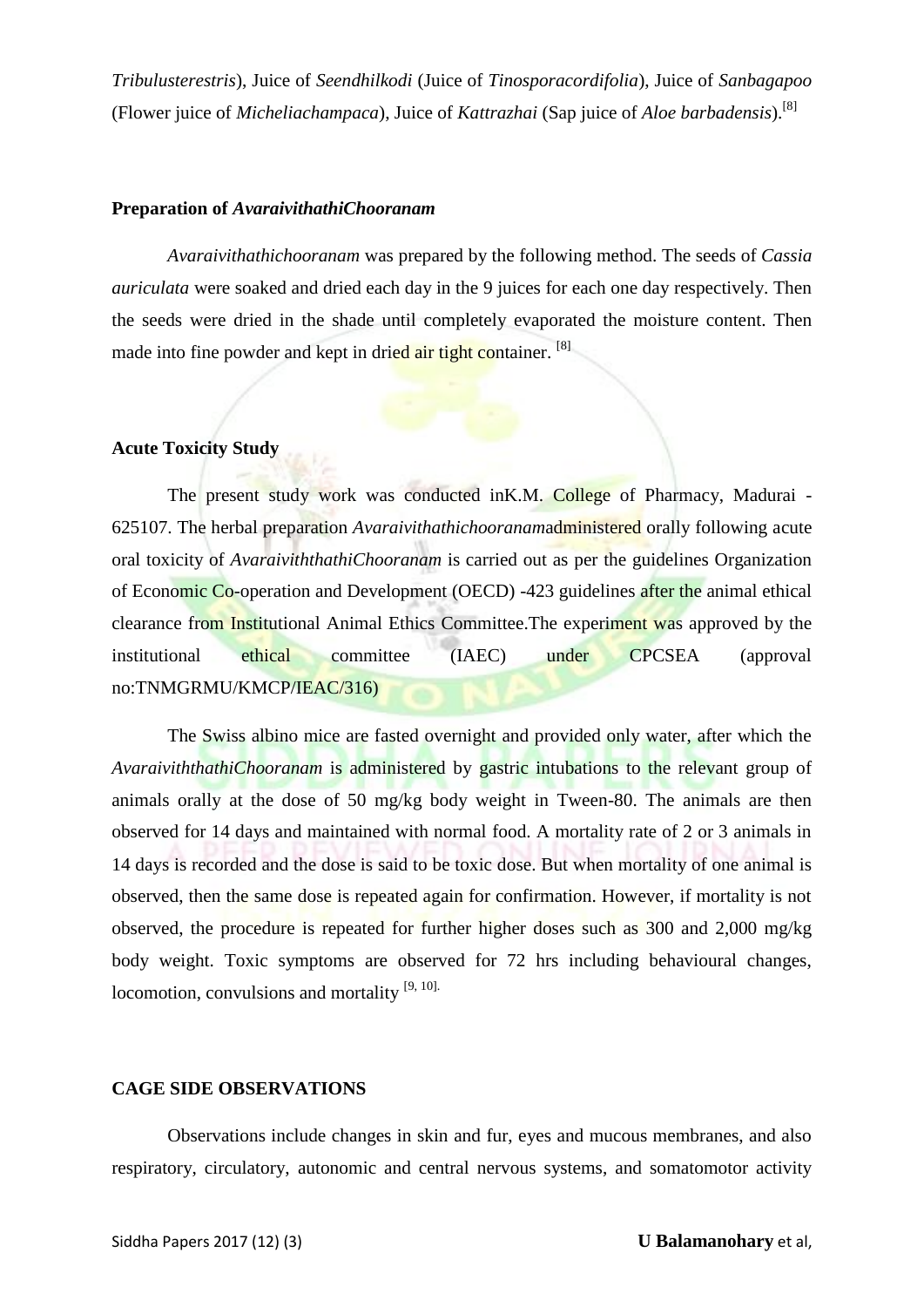*Tribulusterestris*), Juice of *Seendhilkodi* (Juice of *Tinosporacordifolia*), Juice of *Sanbagapoo* (Flower juice of *Micheliachampaca*), Juice of *Kattrazhai* (Sap juice of *Aloe barbadensis*).[8]

#### **Preparation of** *AvaraivithathiChooranam*

*Avaraivithathichooranam* was prepared by the following method. The seeds of *Cassia auriculata* were soaked and dried each day in the 9 juices for each one day respectively. Then the seeds were dried in the shade until completely evaporated the moisture content. Then made into fine powder and kept in dried air tight container. <sup>[8]</sup>

### **Acute Toxicity Study**

The present study work was conducted inK.M. College of Pharmacy, Madurai - 625107. The herbal preparation *Avaraivithathichooranam*administered orally following acute oral toxicity of *AvaraiviththathiChooranam* is carried out as per the guidelines Organization of Economic Co-operation and Development (OECD) -423 guidelines after the animal ethical clearance from Institutional Animal Ethics Committee.The experiment was approved by the institutional ethical committee (IAEC) under CPCSEA (approval no:TNMGRMU/KMCP/IEAC/316)

The Swiss albino mice are fasted overnight and provided only water, after which the *AvaraiviththathiChooranam* is administered by gastric intubations to the relevant group of animals orally at the dose of 50 mg/kg body weight in Tween-80. The animals are then observed for 14 days and maintained with normal food. A mortality rate of 2 or 3 animals in 14 days is recorded and the dose is said to be toxic dose. But when mortality of one animal is observed, then the same dose is repeated again for confirmation. However, if mortality is not observed, the procedure is repeated for further higher doses such as 300 and 2,000 mg/kg body weight. Toxic symptoms are observed for 72 hrs including behavioural changes, locomotion, convulsions and mortality  $[9, 10]$ .

#### **CAGE SIDE OBSERVATIONS**

Observations include changes in skin and fur, eyes and mucous membranes, and also respiratory, circulatory, autonomic and central nervous systems, and somatomotor activity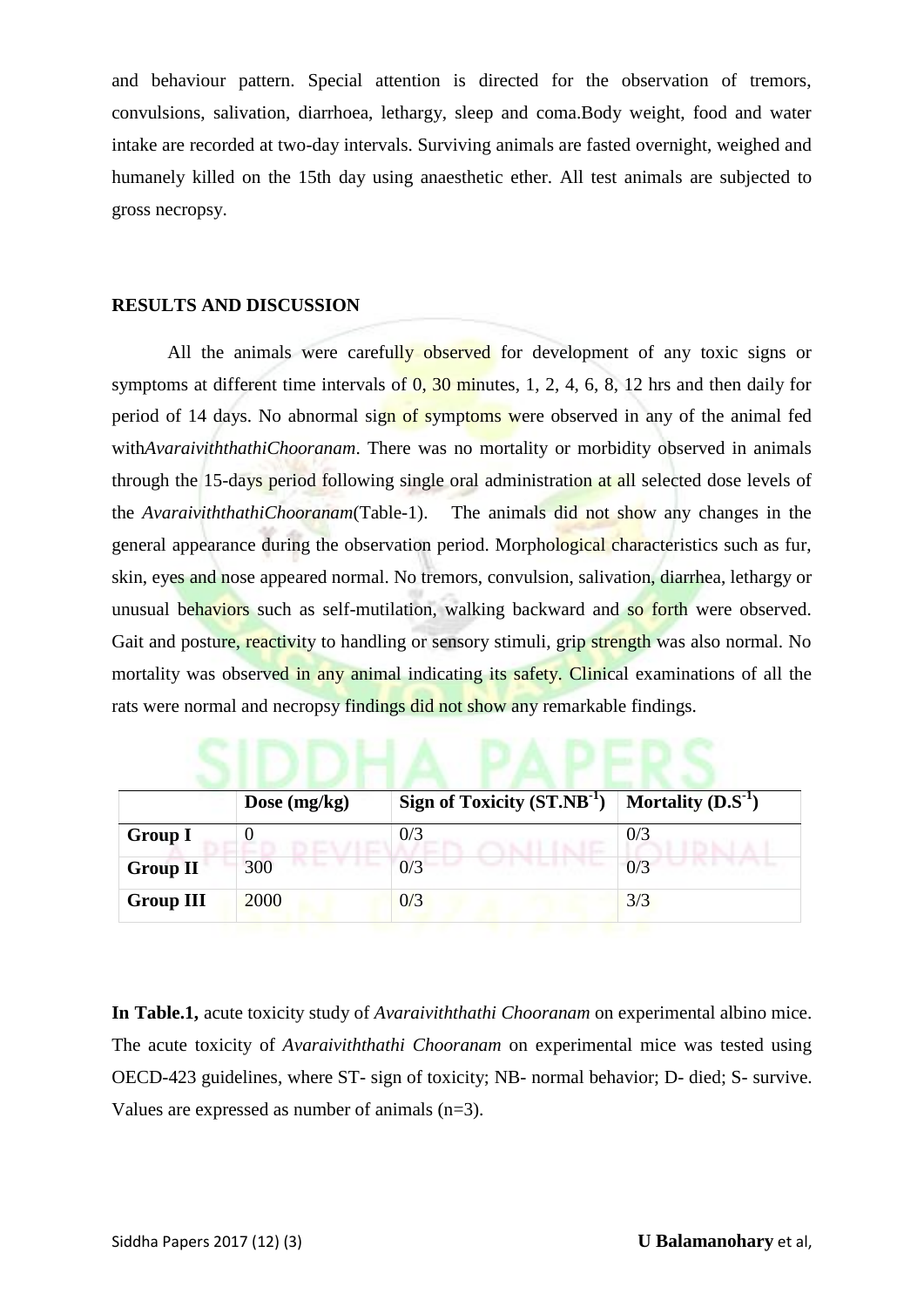and behaviour pattern. Special attention is directed for the observation of tremors, convulsions, salivation, diarrhoea, lethargy, sleep and coma.Body weight, food and water intake are recorded at two-day intervals. Surviving animals are fasted overnight, weighed and humanely killed on the 15th day using anaesthetic ether. All test animals are subjected to gross necropsy.

### **RESULTS AND DISCUSSION**

All the animals were carefully observed for development of any toxic signs or symptoms at different time intervals of  $0$ ,  $30$  minutes, 1, 2, 4, 6, 8, 12 hrs and then daily for period of 14 days. No abnormal sign of symptoms were observed in any of the animal fed with*AvaraiviththathiChooranam*. There was no mortality or morbidity observed in animals through the 15-days period following single oral administration at all selected dose levels of the *AvaraiviththathiChooranam*(Table-1). The animals did not show any changes in the general appearance during the observation period. Morphological characteristics such as fur, skin, eyes and nose appeared normal. No tremors, convulsion, salivation, diarrhea, lethargy or unusual behaviors such as self-mutilation, walking backward and so forth were observed. Gait and posture, reactivity to handling or sensory stimuli, grip strength was also normal. No mortality was observed in any animal indicating its safety. Clinical examinations of all the rats were normal and necropsy findings did not show any remarkable findings.

|                  | Dose $(mg/kg)$ | Sign of Toxicity $(ST.NB^{-1})$ | Mortality $(D.S^{-1})$ |
|------------------|----------------|---------------------------------|------------------------|
| <b>Group I</b>   |                | 0/3                             | 0/3                    |
| <b>Group II</b>  | 300            | 0/3                             | 0/3                    |
| <b>Group III</b> | 2000           | 0/3                             | 3/3                    |

**In Table.1,** acute toxicity study of *Avaraiviththathi Chooranam* on experimental albino mice. The acute toxicity of *Avaraiviththathi Chooranam* on experimental mice was tested using OECD-423 guidelines, where ST- sign of toxicity; NB- normal behavior; D- died; S- survive. Values are expressed as number of animals (n=3).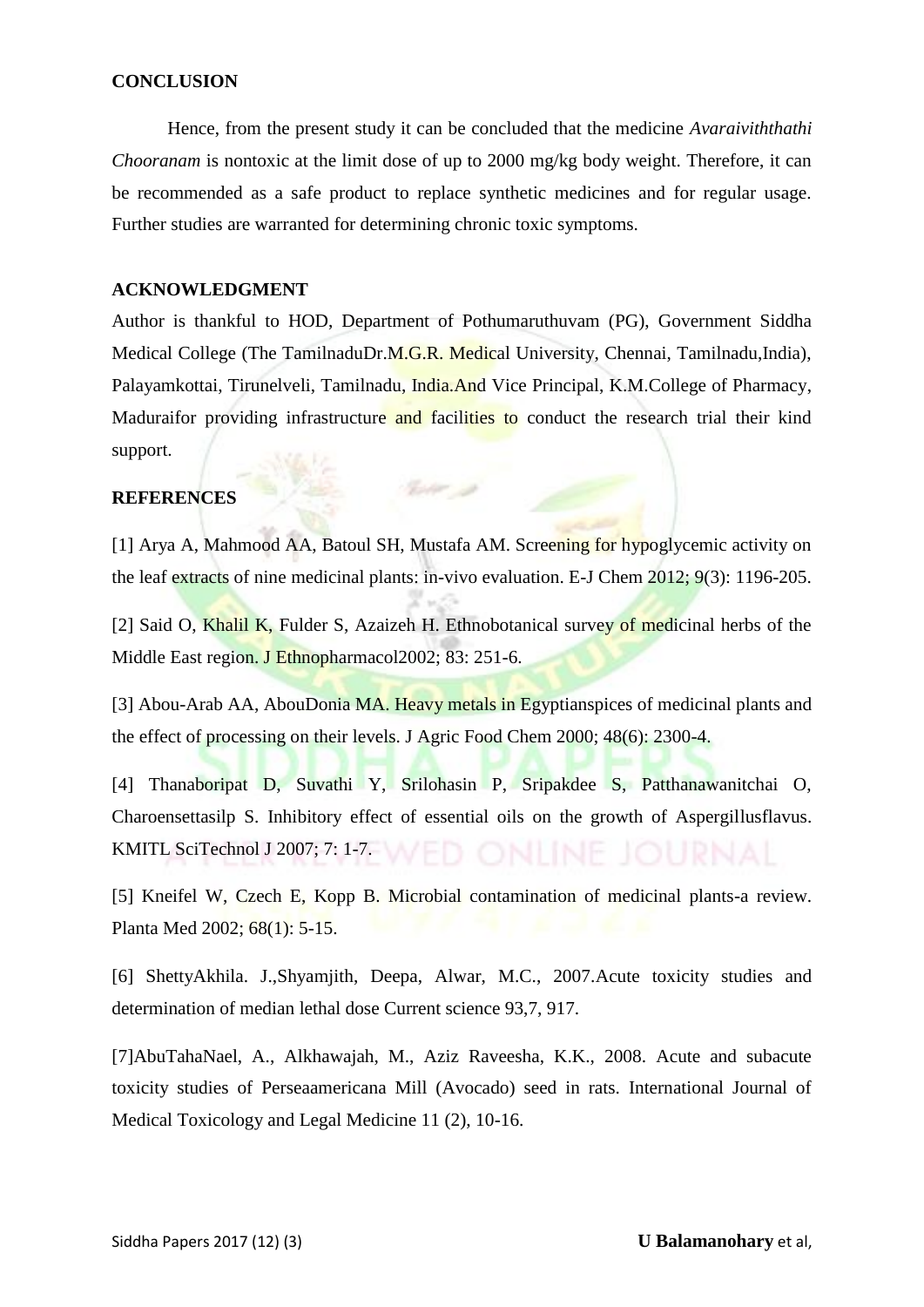#### **CONCLUSION**

Hence, from the present study it can be concluded that the medicine *Avaraiviththathi Chooranam* is nontoxic at the limit dose of up to 2000 mg/kg body weight. Therefore, it can be recommended as a safe product to replace synthetic medicines and for regular usage. Further studies are warranted for determining chronic toxic symptoms.

#### **ACKNOWLEDGMENT**

Author is thankful to HOD, Department of Pothumaruthuvam (PG), Government Siddha Medical College (The TamilnaduDr.M.G.R. Medical University, Chennai, Tamilnadu,India), Palayamkottai, Tirunelveli, Tamilnadu, India.And Vice Principal, K.M.College of Pharmacy, Maduraifor providing infrastructure and facilities to conduct the research trial their kind support.

#### **REFERENCES**

[1] Arya A, Mahmood AA, Batoul SH, Mustafa AM. Screening for hypoglycemic activity on the leaf extracts of nine medicinal plants: in-vivo evaluation. E-J Chem 2012; 9(3): 1196-205.

 $\label{eq:2.1} \mathcal{G}_{\mathcal{P}}(t^{\mu},\rho) = \rho \mathcal{G}$ 

[2] Said O, Khalil K, Fulder S, Azaizeh H. Ethnobotanical survey of medicinal herbs of the Middle East region. J Ethnopharmacol2002; 83: 251-6.

[3] Abou-Arab AA, AbouDonia MA. Heavy metals in Egyptianspices of medicinal plants and the effect of processing on their levels. J Agric Food Chem 2000; 48(6): 2300-4.

[4] Thanaboripat D, Suvathi Y, Srilohasin P, Sripakdee S, Patthanawanitchai O, Charoensettasilp S. Inhibitory effect of essential oils on the growth of Aspergillusflavus. KMITL SciTechnol J 2007; 7: 1-7. WED ONINE JOURNAL

[5] Kneifel W, Czech E, Kopp B. Microbial contamination of medicinal plants-a review. Planta Med 2002; 68(1): 5-15.

[6] ShettyAkhila. J.,Shyamjith, Deepa, Alwar, M.C., 2007.Acute toxicity studies and determination of median lethal dose Current science 93,7, 917.

[7]AbuTahaNael, A., Alkhawajah, M., Aziz Raveesha, K.K., 2008. Acute and subacute toxicity studies of Perseaamericana Mill (Avocado) seed in rats. International Journal of Medical Toxicology and Legal Medicine 11 (2), 10-16.